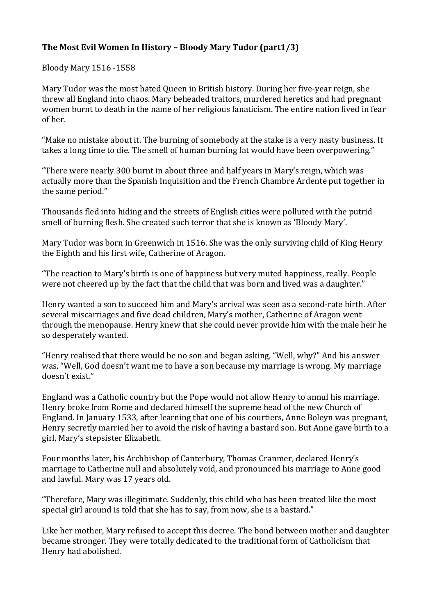## **The Most Evil Women In History – Bloody Mary Tudor (part1/3)**

Bloody Mary 1516 -1558

Mary Tudor was the most hated Queen in British history. During her five-year reign, she threw all England into chaos. Mary beheaded traitors, murdered heretics and had pregnant women burnt to death in the name of her religious fanaticism. The entire nation lived in fear of her.

"Make no mistake about it. The burning of somebody at the stake is a very nasty business. It takes a long time to die. The smell of human burning fat would have been overpowering."

"There were nearly 300 burnt in about three and half years in Mary's reign, which was actually more than the Spanish Inquisition and the French Chambre Ardente put together in the same period."

Thousands fled into hiding and the streets of English cities were polluted with the putrid smell of burning flesh. She created such terror that she is known as 'Bloody Mary'.

Mary Tudor was born in Greenwich in 1516. She was the only surviving child of King Henry the Eighth and his first wife, Catherine of Aragon.

"The reaction to Mary's birth is one of happiness but very muted happiness, really. People were not cheered up by the fact that the child that was born and lived was a daughter."

Henry wanted a son to succeed him and Mary's arrival was seen as a second-rate birth. After several miscarriages and five dead children, Mary's mother, Catherine of Aragon went through the menopause. Henry knew that she could never provide him with the male heir he so desperately wanted.

"Henry realised that there would be no son and began asking, "Well, why?" And his answer was, "Well, God doesn't want me to have a son because my marriage is wrong. My marriage doesn't exist."

England was a Catholic country but the Pope would not allow Henry to annul his marriage. Henry broke from Rome and declared himself the supreme head of the new Church of England. In January 1533, after learning that one of his courtiers, Anne Boleyn was pregnant, Henry secretly married her to avoid the risk of having a bastard son. But Anne gave birth to a girl, Mary's stepsister Elizabeth.

Four months later, his Archbishop of Canterbury, Thomas Cranmer, declared Henry's marriage to Catherine null and absolutely void, and pronounced his marriage to Anne good and lawful. Mary was 17 years old.

"Therefore, Mary was illegitimate. Suddenly, this child who has been treated like the most special girl around is told that she has to say, from now, she is a bastard."

Like her mother, Mary refused to accept this decree. The bond between mother and daughter became stronger. They were totally dedicated to the traditional form of Catholicism that Henry had abolished.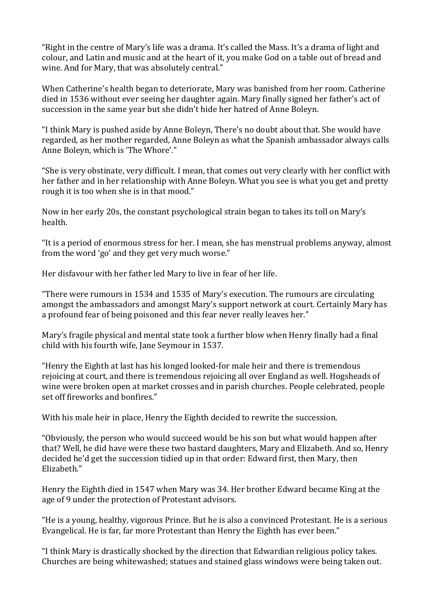"Right in the centre of Mary's life was a drama. It's called the Mass. It's a drama of light and colour, and Latin and music and at the heart of it, you make God on a table out of bread and wine. And for Mary, that was absolutely central."

When Catherine's health began to deteriorate, Mary was banished from her room. Catherine died in 1536 without ever seeing her daughter again. Mary finally signed her father's act of succession in the same year but she didn't hide her hatred of Anne Boleyn.

"I think Mary is pushed aside by Anne Boleyn, There's no doubt about that. She would have regarded, as her mother regarded, Anne Boleyn as what the Spanish ambassador always calls Anne Boleyn, which is 'The Whore'."

"She is very obstinate, very difficult. I mean, that comes out very clearly with her conflict with her father and in her relationship with Anne Boleyn. What you see is what you get and pretty rough it is too when she is in that mood."

Now in her early 20s, the constant psychological strain began to takes its toll on Mary's health.

"It is a period of enormous stress for her. I mean, she has menstrual problems anyway, almost from the word 'go' and they get very much worse."

Her disfavour with her father led Mary to live in fear of her life.

"There were rumours in 1534 and 1535 of Mary's execution. The rumours are circulating amongst the ambassadors and amongst Mary's support network at court. Certainly Mary has a profound fear of being poisoned and this fear never really leaves her."

Mary's fragile physical and mental state took a further blow when Henry finally had a final child with his fourth wife, Jane Seymour in 1537.

"Henry the Eighth at last has his longed looked-for male heir and there is tremendous rejoicing at court, and there is tremendous rejoicing all over England as well. Hogsheads of wine were broken open at market crosses and in parish churches. People celebrated, people set off fireworks and bonfires."

With his male heir in place, Henry the Eighth decided to rewrite the succession.

"Obviously, the person who would succeed would be his son but what would happen after that? Well, he did have were these two bastard daughters, Mary and Elizabeth. And so, Henry decided he'd get the succession tidied up in that order: Edward first, then Mary, then Elizabeth."

Henry the Eighth died in 1547 when Mary was 34. Her brother Edward became King at the age of 9 under the protection of Protestant advisors.

"He is a young, healthy, vigorous Prince. But he is also a convinced Protestant. He is a serious Evangelical. He is far, far more Protestant than Henry the Eighth has ever been."

"I think Mary is drastically shocked by the direction that Edwardian religious policy takes. Churches are being whitewashed; statues and stained glass windows were being taken out.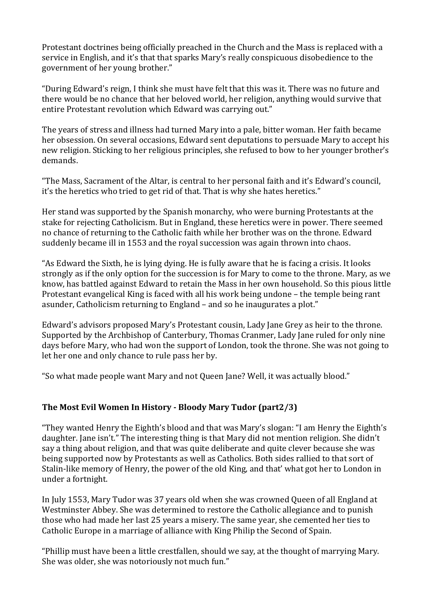Protestant doctrines being officially preached in the Church and the Mass is replaced with a service in English, and it's that that sparks Mary's really conspicuous disobedience to the government of her young brother."

"During Edward's reign, I think she must have felt that this was it. There was no future and there would be no chance that her beloved world, her religion, anything would survive that entire Protestant revolution which Edward was carrying out."

The years of stress and illness had turned Mary into a pale, bitter woman. Her faith became her obsession. On several occasions, Edward sent deputations to persuade Mary to accept his new religion. Sticking to her religious principles, she refused to bow to her younger brother's demands.

"The Mass, Sacrament of the Altar, is central to her personal faith and it's Edward's council, it's the heretics who tried to get rid of that. That is why she hates heretics."

Her stand was supported by the Spanish monarchy, who were burning Protestants at the stake for rejecting Catholicism. But in England, these heretics were in power. There seemed no chance of returning to the Catholic faith while her brother was on the throne. Edward suddenly became ill in 1553 and the royal succession was again thrown into chaos.

"As Edward the Sixth, he is lying dying. He is fully aware that he is facing a crisis. It looks strongly as if the only option for the succession is for Mary to come to the throne. Mary, as we know, has battled against Edward to retain the Mass in her own household. So this pious little Protestant evangelical King is faced with all his work being undone – the temple being rant asunder, Catholicism returning to England – and so he inaugurates a plot."

Edward's advisors proposed Mary's Protestant cousin, Lady Jane Grey as heir to the throne. Supported by the Archbishop of Canterbury, Thomas Cranmer, Lady Jane ruled for only nine days before Mary, who had won the support of London, took the throne. She was not going to let her one and only chance to rule pass her by.

"So what made people want Mary and not Queen Jane? Well, it was actually blood."

## **The Most Evil Women In History - Bloody Mary Tudor (part2/3)**

"They wanted Henry the Eighth's blood and that was Mary's slogan: "I am Henry the Eighth's daughter. Jane isn't." The interesting thing is that Mary did not mention religion. She didn't say a thing about religion, and that was quite deliberate and quite clever because she was being supported now by Protestants as well as Catholics. Both sides rallied to that sort of Stalin-like memory of Henry, the power of the old King, and that' what got her to London in under a fortnight.

In July 1553, Mary Tudor was 37 years old when she was crowned Queen of all England at Westminster Abbey. She was determined to restore the Catholic allegiance and to punish those who had made her last 25 years a misery. The same year, she cemented her ties to Catholic Europe in a marriage of alliance with King Philip the Second of Spain.

"Phillip must have been a little crestfallen, should we say, at the thought of marrying Mary. She was older, she was notoriously not much fun."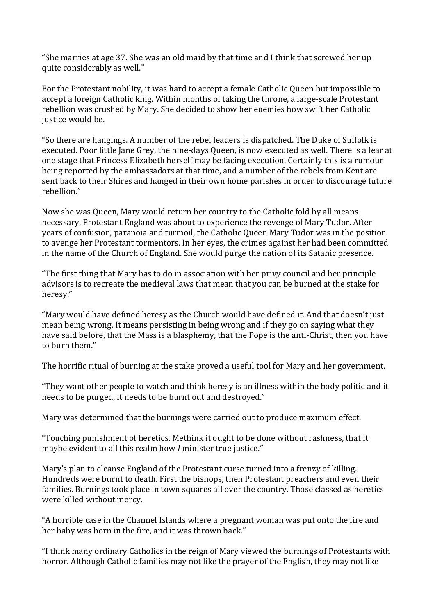"She marries at age 37. She was an old maid by that time and I think that screwed her up quite considerably as well."

For the Protestant nobility, it was hard to accept a female Catholic Queen but impossible to accept a foreign Catholic king. Within months of taking the throne, a large-scale Protestant rebellion was crushed by Mary. She decided to show her enemies how swift her Catholic justice would be.

"So there are hangings. A number of the rebel leaders is dispatched. The Duke of Suffolk is executed. Poor little Jane Grey, the nine-days Queen, is now executed as well. There is a fear at one stage that Princess Elizabeth herself may be facing execution. Certainly this is a rumour being reported by the ambassadors at that time, and a number of the rebels from Kent are sent back to their Shires and hanged in their own home parishes in order to discourage future rebellion."

Now she was Queen, Mary would return her country to the Catholic fold by all means necessary. Protestant England was about to experience the revenge of Mary Tudor. After years of confusion, paranoia and turmoil, the Catholic Queen Mary Tudor was in the position to avenge her Protestant tormentors. In her eyes, the crimes against her had been committed in the name of the Church of England. She would purge the nation of its Satanic presence.

"The first thing that Mary has to do in association with her privy council and her principle advisors is to recreate the medieval laws that mean that you can be burned at the stake for heresy."

"Mary would have defined heresy as the Church would have defined it. And that doesn't just mean being wrong. It means persisting in being wrong and if they go on saying what they have said before, that the Mass is a blasphemy, that the Pope is the anti-Christ, then you have to burn them."

The horrific ritual of burning at the stake proved a useful tool for Mary and her government.

"They want other people to watch and think heresy is an illness within the body politic and it needs to be purged, it needs to be burnt out and destroyed."

Mary was determined that the burnings were carried out to produce maximum effect.

"Touching punishment of heretics. Methink it ought to be done without rashness, that it maybe evident to all this realm how *I* minister true justice."

Mary's plan to cleanse England of the Protestant curse turned into a frenzy of killing. Hundreds were burnt to death. First the bishops, then Protestant preachers and even their families. Burnings took place in town squares all over the country. Those classed as heretics were killed without mercy.

"A horrible case in the Channel Islands where a pregnant woman was put onto the fire and her baby was born in the fire, and it was thrown back."

"I think many ordinary Catholics in the reign of Mary viewed the burnings of Protestants with horror. Although Catholic families may not like the prayer of the English, they may not like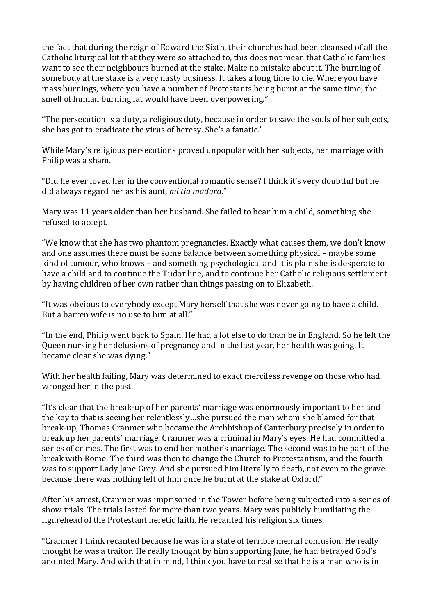the fact that during the reign of Edward the Sixth, their churches had been cleansed of all the Catholic liturgical kit that they were so attached to, this does not mean that Catholic families want to see their neighbours burned at the stake. Make no mistake about it. The burning of somebody at the stake is a very nasty business. It takes a long time to die. Where you have mass burnings, where you have a number of Protestants being burnt at the same time, the smell of human burning fat would have been overpowering."

"The persecution is a duty, a religious duty, because in order to save the souls of her subjects, she has got to eradicate the virus of heresy. She's a fanatic."

While Mary's religious persecutions proved unpopular with her subjects, her marriage with Philip was a sham.

"Did he ever loved her in the conventional romantic sense? I think it's very doubtful but he did always regard her as his aunt, *mi tia madura*."

Mary was 11 years older than her husband. She failed to bear him a child, something she refused to accept.

"We know that she has two phantom pregnancies. Exactly what causes them, we don't know and one assumes there must be some balance between something physical – maybe some kind of tumour, who knows – and something psychological and it is plain she is desperate to have a child and to continue the Tudor line, and to continue her Catholic religious settlement by having children of her own rather than things passing on to Elizabeth.

"It was obvious to everybody except Mary herself that she was never going to have a child. But a barren wife is no use to him at all."

"In the end, Philip went back to Spain. He had a lot else to do than be in England. So he left the Queen nursing her delusions of pregnancy and in the last year, her health was going. It became clear she was dying."

With her health failing, Mary was determined to exact merciless revenge on those who had wronged her in the past.

"It's clear that the break-up of her parents' marriage was enormously important to her and the key to that is seeing her relentlessly…she pursued the man whom she blamed for that break-up, Thomas Cranmer who became the Archbishop of Canterbury precisely in order to break up her parents' marriage. Cranmer was a criminal in Mary's eyes. He had committed a series of crimes. The first was to end her mother's marriage. The second was to be part of the break with Rome. The third was then to change the Church to Protestantism, and the fourth was to support Lady Jane Grey. And she pursued him literally to death, not even to the grave because there was nothing left of him once he burnt at the stake at Oxford."

After his arrest, Cranmer was imprisoned in the Tower before being subjected into a series of show trials. The trials lasted for more than two years. Mary was publicly humiliating the figurehead of the Protestant heretic faith. He recanted his religion six times.

"Cranmer I think recanted because he was in a state of terrible mental confusion. He really thought he was a traitor. He really thought by him supporting Jane, he had betrayed God's anointed Mary. And with that in mind, I think you have to realise that he is a man who is in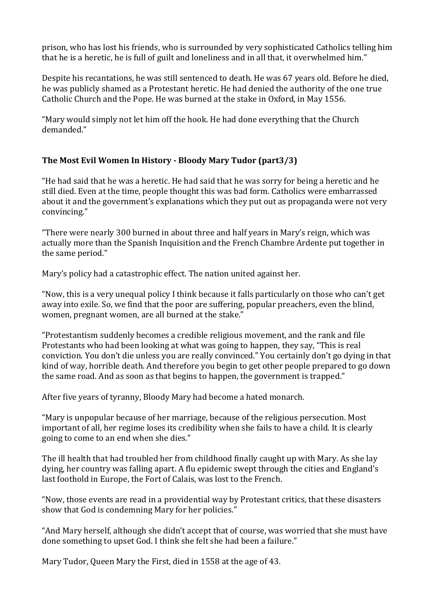prison, who has lost his friends, who is surrounded by very sophisticated Catholics telling him that he is a heretic, he is full of guilt and loneliness and in all that, it overwhelmed him."

Despite his recantations, he was still sentenced to death. He was 67 years old. Before he died, he was publicly shamed as a Protestant heretic. He had denied the authority of the one true Catholic Church and the Pope. He was burned at the stake in Oxford, in May 1556.

"Mary would simply not let him off the hook. He had done everything that the Church demanded."

## **The Most Evil Women In History - Bloody Mary Tudor (part3/3)**

"He had said that he was a heretic. He had said that he was sorry for being a heretic and he still died. Even at the time, people thought this was bad form. Catholics were embarrassed about it and the government's explanations which they put out as propaganda were not very convincing."

"There were nearly 300 burned in about three and half years in Mary's reign, which was actually more than the Spanish Inquisition and the French Chambre Ardente put together in the same period."

Mary's policy had a catastrophic effect. The nation united against her.

"Now, this is a very unequal policy I think because it falls particularly on those who can't get away into exile. So, we find that the poor are suffering, popular preachers, even the blind, women, pregnant women, are all burned at the stake."

"Protestantism suddenly becomes a credible religious movement, and the rank and file Protestants who had been looking at what was going to happen, they say, "This is real conviction. You don't die unless you are really convinced." You certainly don't go dying in that kind of way, horrible death. And therefore you begin to get other people prepared to go down the same road. And as soon as that begins to happen, the government is trapped."

After five years of tyranny, Bloody Mary had become a hated monarch.

"Mary is unpopular because of her marriage, because of the religious persecution. Most important of all, her regime loses its credibility when she fails to have a child. It is clearly going to come to an end when she dies."

The ill health that had troubled her from childhood finally caught up with Mary. As she lay dying, her country was falling apart. A flu epidemic swept through the cities and England's last foothold in Europe, the Fort of Calais, was lost to the French.

"Now, those events are read in a providential way by Protestant critics, that these disasters show that God is condemning Mary for her policies."

"And Mary herself, although she didn't accept that of course, was worried that she must have done something to upset God. I think she felt she had been a failure."

Mary Tudor, Queen Mary the First, died in 1558 at the age of 43.